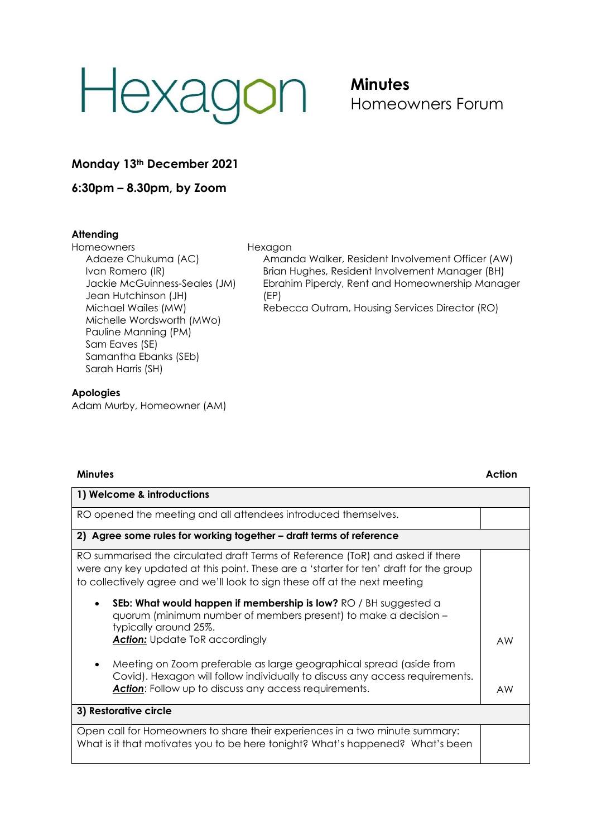# Hexago  $\overline{O}$

## **Minutes** Homeowners Forum

### **Monday 13th December 2021**

**6:30pm – 8.30pm, by Zoom**

#### **Attending**

Homeowners Adaeze Chukuma (AC) Ivan Romero (IR) Jackie McGuinness-Seales (JM) Jean Hutchinson (JH) Michael Wailes (MW) Michelle Wordsworth (MWo) Pauline Manning (PM) Sam Eaves (SE) Samantha Ebanks (SEb) Sarah Harris (SH)

## **Apologies**

Adam Murby, Homeowner (AM)

#### Hexagon

Amanda Walker, Resident Involvement Officer (AW) Brian Hughes, Resident Involvement Manager (BH) Ebrahim Piperdy, Rent and Homeownership Manager (EP)

Rebecca Outram, Housing Services Director (RO)

| <b>Minutes</b>                                                                                                                                                                                                                                        | Action |
|-------------------------------------------------------------------------------------------------------------------------------------------------------------------------------------------------------------------------------------------------------|--------|
| 1) Welcome & introductions                                                                                                                                                                                                                            |        |
| RO opened the meeting and all attendees introduced themselves.                                                                                                                                                                                        |        |
| 2) Agree some rules for working together - draft terms of reference                                                                                                                                                                                   |        |
| RO summarised the circulated draft Terms of Reference (ToR) and asked if there<br>were any key updated at this point. These are a 'starter for ten' draft for the group<br>to collectively agree and we'll look to sign these off at the next meeting |        |
| SEb: What would happen if membership is low? RO / BH suggested a<br>٠<br>quorum (minimum number of members present) to make a decision -<br>typically around 25%.<br><b>Action:</b> Update ToR accordingly                                            | AW     |
| Meeting on Zoom preferable as large geographical spread (aside from<br>٠<br>Covid). Hexagon will follow individually to discuss any access requirements.<br><b>Action:</b> Follow up to discuss any access requirements.                              | AW     |
| 3) Restorative circle                                                                                                                                                                                                                                 |        |
| Open call for Homeowners to share their experiences in a two minute summary:<br>What is it that motivates you to be here tonight? What's happened? What's been                                                                                        |        |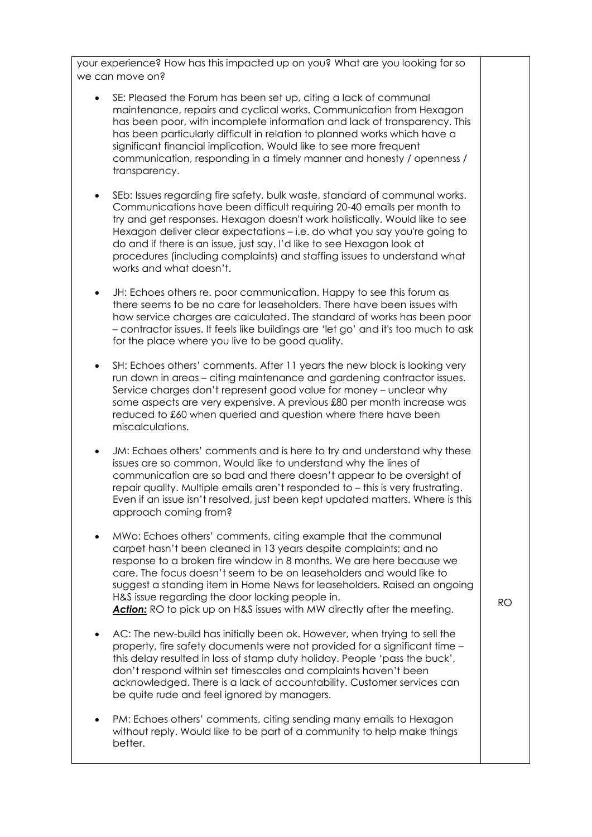your experience? How has this impacted up on you? What are you looking for so we can move on?

- SE: Pleased the Forum has been set up, citing a lack of communal maintenance, repairs and cyclical works. Communication from Hexagon has been poor, with incomplete information and lack of transparency. This has been particularly difficult in relation to planned works which have a significant financial implication. Would like to see more frequent communication, responding in a timely manner and honesty / openness / transparency.
- SEb: Issues regarding fire safety, bulk waste, standard of communal works. Communications have been difficult requiring 20-40 emails per month to try and get responses. Hexagon doesn't work holistically. Would like to see Hexagon deliver clear expectations – i.e. do what you say you're going to do and if there is an issue, just say. I'd like to see Hexagon look at procedures (including complaints) and staffing issues to understand what works and what doesn't.
- JH: Echoes others re. poor communication. Happy to see this forum as there seems to be no care for leaseholders. There have been issues with how service charges are calculated. The standard of works has been poor – contractor issues. It feels like buildings are 'let go' and it's too much to ask for the place where you live to be good quality.
- SH: Echoes others' comments. After 11 years the new block is looking very run down in areas – citing maintenance and gardening contractor issues. Service charges don't represent good value for money – unclear why some aspects are very expensive. A previous £80 per month increase was reduced to £60 when queried and question where there have been miscalculations.
- JM: Echoes others' comments and is here to try and understand why these issues are so common. Would like to understand why the lines of communication are so bad and there doesn't appear to be oversight of repair quality. Multiple emails aren't responded to – this is very frustrating. Even if an issue isn't resolved, just been kept updated matters. Where is this approach coming from?
- MWo: Echoes others' comments, citing example that the communal carpet hasn't been cleaned in 13 years despite complaints; and no response to a broken fire window in 8 months. We are here because we care. The focus doesn't seem to be on leaseholders and would like to suggest a standing item in Home News for leaseholders. Raised an ongoing H&S issue regarding the door locking people in. Action: RO to pick up on H&S issues with MW directly after the meeting.
- AC: The new-build has initially been ok. However, when trying to sell the property, fire safety documents were not provided for a significant time – this delay resulted in loss of stamp duty holiday. People 'pass the buck', don't respond within set timescales and complaints haven't been acknowledged. There is a lack of accountability. Customer services can be quite rude and feel ignored by managers.
- PM: Echoes others' comments, citing sending many emails to Hexagon without reply. Would like to be part of a community to help make things better.

RO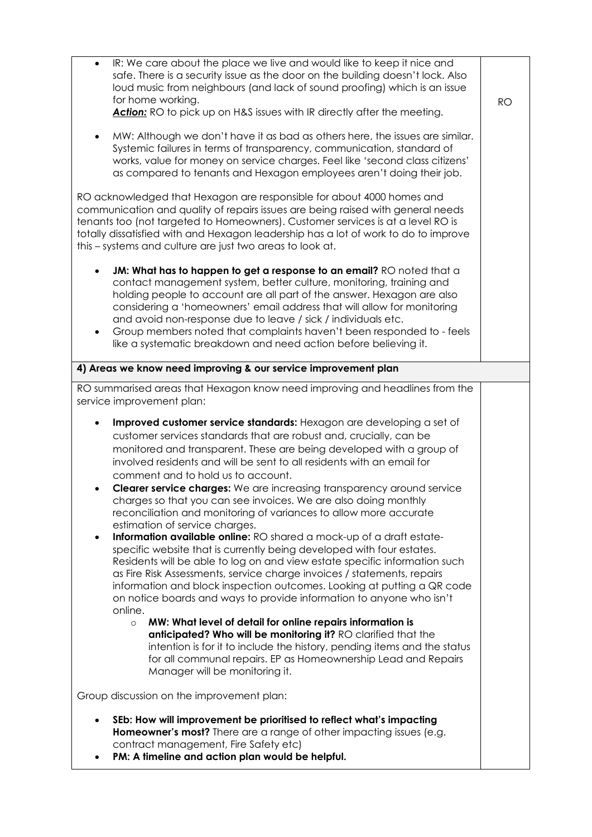| IR: We care about the place we live and would like to keep it nice and<br>safe. There is a security issue as the door on the building doesn't lock. Also<br>loud music from neighbours (and lack of sound proofing) which is an issue<br>for home working.<br>Action: RO to pick up on H&S issues with IR directly after the meeting.                                                                                                                                                                                                                                                                                                                                                                                                                                                                                                                                                                                                                                                                                                                                                                                                                                                                                                                                                                                                                                                                        | <b>RO</b> |  |
|--------------------------------------------------------------------------------------------------------------------------------------------------------------------------------------------------------------------------------------------------------------------------------------------------------------------------------------------------------------------------------------------------------------------------------------------------------------------------------------------------------------------------------------------------------------------------------------------------------------------------------------------------------------------------------------------------------------------------------------------------------------------------------------------------------------------------------------------------------------------------------------------------------------------------------------------------------------------------------------------------------------------------------------------------------------------------------------------------------------------------------------------------------------------------------------------------------------------------------------------------------------------------------------------------------------------------------------------------------------------------------------------------------------|-----------|--|
| MW: Although we don't have it as bad as others here, the issues are similar.<br>Systemic failures in terms of transparency, communication, standard of<br>works, value for money on service charges. Feel like 'second class citizens'<br>as compared to tenants and Hexagon employees aren't doing their job.                                                                                                                                                                                                                                                                                                                                                                                                                                                                                                                                                                                                                                                                                                                                                                                                                                                                                                                                                                                                                                                                                               |           |  |
| RO acknowledged that Hexagon are responsible for about 4000 homes and<br>communication and quality of repairs issues are being raised with general needs<br>tenants too (not targeted to Homeowners). Customer services is at a level RO is<br>totally dissatisfied with and Hexagon leadership has a lot of work to do to improve<br>this – systems and culture are just two areas to look at.                                                                                                                                                                                                                                                                                                                                                                                                                                                                                                                                                                                                                                                                                                                                                                                                                                                                                                                                                                                                              |           |  |
| JM: What has to happen to get a response to an email? RO noted that a<br>$\bullet$<br>contact management system, better culture, monitoring, training and<br>holding people to account are all part of the answer. Hexagon are also<br>considering a 'homeowners' email address that will allow for monitoring<br>and avoid non-response due to leave / sick / individuals etc.<br>Group members noted that complaints haven't been responded to - feels<br>like a systematic breakdown and need action before believing it.                                                                                                                                                                                                                                                                                                                                                                                                                                                                                                                                                                                                                                                                                                                                                                                                                                                                                 |           |  |
| 4) Areas we know need improving & our service improvement plan                                                                                                                                                                                                                                                                                                                                                                                                                                                                                                                                                                                                                                                                                                                                                                                                                                                                                                                                                                                                                                                                                                                                                                                                                                                                                                                                               |           |  |
| RO summarised areas that Hexagon know need improving and headlines from the<br>service improvement plan:                                                                                                                                                                                                                                                                                                                                                                                                                                                                                                                                                                                                                                                                                                                                                                                                                                                                                                                                                                                                                                                                                                                                                                                                                                                                                                     |           |  |
| Improved customer service standards: Hexagon are developing a set of<br>customer services standards that are robust and, crucially, can be<br>monitored and transparent. These are being developed with a group of<br>involved residents and will be sent to all residents with an email for<br>comment and to hold us to account.<br><b>Clearer service charges:</b> We are increasing transparency around service<br>charges so that you can see invoices. We are also doing monthly<br>reconciliation and monitoring of variances to allow more accurate<br>estimation of service charges.<br>Information available online: RO shared a mock-up of a draft estate-<br>$\bullet$<br>specific website that is currently being developed with four estates.<br>Residents will be able to log on and view estate specific information such<br>as Fire Risk Assessments, service charge invoices / statements, repairs<br>information and block inspection outcomes. Looking at putting a QR code<br>on notice boards and ways to provide information to anyone who isn't<br>online.<br>MW: What level of detail for online repairs information is<br>$\circ$<br>anticipated? Who will be monitoring it? RO clarified that the<br>intention is for it to include the history, pending items and the status<br>for all communal repairs. EP as Homeownership Lead and Repairs<br>Manager will be monitoring it. |           |  |
| Group discussion on the improvement plan:                                                                                                                                                                                                                                                                                                                                                                                                                                                                                                                                                                                                                                                                                                                                                                                                                                                                                                                                                                                                                                                                                                                                                                                                                                                                                                                                                                    |           |  |
| SEb: How will improvement be prioritised to reflect what's impacting<br>Homeowner's most? There are a range of other impacting issues (e.g.<br>contract management, Fire Safety etc)                                                                                                                                                                                                                                                                                                                                                                                                                                                                                                                                                                                                                                                                                                                                                                                                                                                                                                                                                                                                                                                                                                                                                                                                                         |           |  |

• **PM: A timeline and action plan would be helpful.**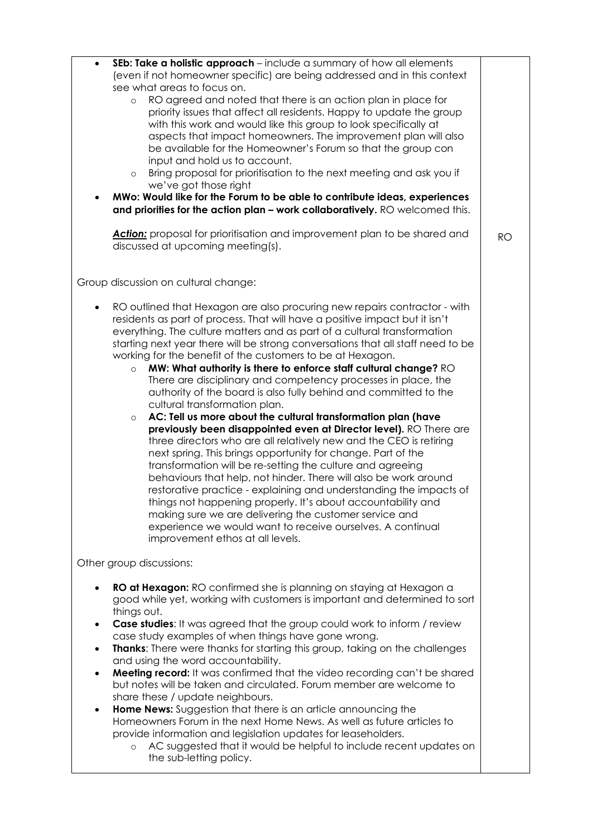| $\bullet$<br>$\bullet$   | SEb: Take a holistic approach - include a summary of how all elements<br>(even if not homeowner specific) are being addressed and in this context<br>see what areas to focus on.<br>RO agreed and noted that there is an action plan in place for<br>$\circ$<br>priority issues that affect all residents. Happy to update the group<br>with this work and would like this group to look specifically at<br>aspects that impact homeowners. The improvement plan will also<br>be available for the Homeowner's Forum so that the group con<br>input and hold us to account.<br>Bring proposal for prioritisation to the next meeting and ask you if<br>$\circ$<br>we've got those right<br>MWo: Would like for the Forum to be able to contribute ideas, experiences<br>and priorities for the action plan - work collaboratively. RO welcomed this.<br>Action: proposal for prioritisation and improvement plan to be shared and<br>discussed at upcoming meeting(s).                                                                                                                                                                                                                                                                                                                                                                                                 | <b>RO</b> |
|--------------------------|------------------------------------------------------------------------------------------------------------------------------------------------------------------------------------------------------------------------------------------------------------------------------------------------------------------------------------------------------------------------------------------------------------------------------------------------------------------------------------------------------------------------------------------------------------------------------------------------------------------------------------------------------------------------------------------------------------------------------------------------------------------------------------------------------------------------------------------------------------------------------------------------------------------------------------------------------------------------------------------------------------------------------------------------------------------------------------------------------------------------------------------------------------------------------------------------------------------------------------------------------------------------------------------------------------------------------------------------------------------------|-----------|
|                          | Group discussion on cultural change:                                                                                                                                                                                                                                                                                                                                                                                                                                                                                                                                                                                                                                                                                                                                                                                                                                                                                                                                                                                                                                                                                                                                                                                                                                                                                                                                   |           |
|                          | RO outlined that Hexagon are also procuring new repairs contractor - with<br>residents as part of process. That will have a positive impact but it isn't<br>everything. The culture matters and as part of a cultural transformation<br>starting next year there will be strong conversations that all staff need to be<br>working for the benefit of the customers to be at Hexagon.<br>MW: What authority is there to enforce staff cultural change? RO<br>$\circ$<br>There are disciplinary and competency processes in place, the<br>authority of the board is also fully behind and committed to the<br>cultural transformation plan.<br>AC: Tell us more about the cultural transformation plan (have<br>$\circ$<br>previously been disappointed even at Director level). RO There are<br>three directors who are all relatively new and the CEO is retiring<br>next spring. This brings opportunity for change. Part of the<br>transformation will be re-setting the culture and agreeing<br>behaviours that help, not hinder. There will also be work around<br>restorative practice - explaining and understanding the impacts of<br>things not happening properly. It's about accountability and<br>making sure we are delivering the customer service and<br>experience we would want to receive ourselves. A continual<br>improvement ethos at all levels. |           |
|                          | Other group discussions:                                                                                                                                                                                                                                                                                                                                                                                                                                                                                                                                                                                                                                                                                                                                                                                                                                                                                                                                                                                                                                                                                                                                                                                                                                                                                                                                               |           |
| ٠<br>$\bullet$<br>٠<br>٠ | RO at Hexagon: RO confirmed she is planning on staying at Hexagon a<br>good while yet, working with customers is important and determined to sort<br>things out.<br><b>Case studies:</b> It was agreed that the group could work to inform / review<br>case study examples of when things have gone wrong.<br><b>Thanks:</b> There were thanks for starting this group, taking on the challenges<br>and using the word accountability.<br>Meeting record: It was confirmed that the video recording can't be shared<br>but notes will be taken and circulated. Forum member are welcome to<br>share these / update neighbours.<br><b>Home News:</b> Suggestion that there is an article announcing the<br>Homeowners Forum in the next Home News. As well as future articles to<br>provide information and legislation updates for leaseholders.<br>AC suggested that it would be helpful to include recent updates on<br>$\circ$<br>the sub-letting policy.                                                                                                                                                                                                                                                                                                                                                                                                           |           |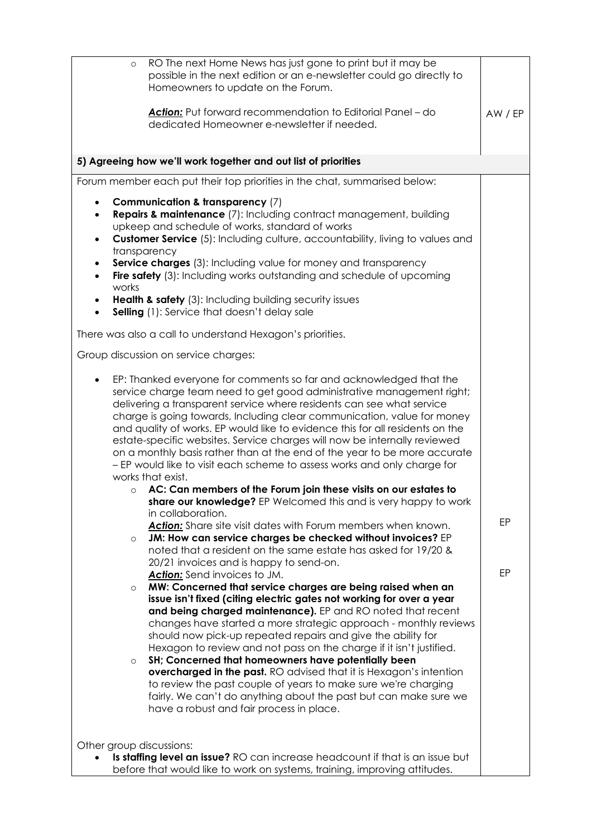| RO The next Home News has just gone to print but it may be<br>$\circ$<br>possible in the next edition or an e-newsletter could go directly to<br>Homeowners to update on the Forum.                                                                                                                                                                                                                                                                                                                                                                                                                                                                                                                                                                                                                                                  |         |
|--------------------------------------------------------------------------------------------------------------------------------------------------------------------------------------------------------------------------------------------------------------------------------------------------------------------------------------------------------------------------------------------------------------------------------------------------------------------------------------------------------------------------------------------------------------------------------------------------------------------------------------------------------------------------------------------------------------------------------------------------------------------------------------------------------------------------------------|---------|
| Action: Put forward recommendation to Editorial Panel - do<br>dedicated Homeowner e-newsletter if needed.                                                                                                                                                                                                                                                                                                                                                                                                                                                                                                                                                                                                                                                                                                                            | AW / EP |
| 5) Agreeing how we'll work together and out list of priorities                                                                                                                                                                                                                                                                                                                                                                                                                                                                                                                                                                                                                                                                                                                                                                       |         |
| Forum member each put their top priorities in the chat, summarised below:                                                                                                                                                                                                                                                                                                                                                                                                                                                                                                                                                                                                                                                                                                                                                            |         |
| Communication & transparency (7)<br>$\bullet$<br><b>Repairs &amp; maintenance</b> (7): Including contract management, building<br>٠<br>upkeep and schedule of works, standard of works<br><b>Customer Service</b> (5): Including culture, accountability, living to values and<br>transparency<br><b>Service charges</b> (3): Including value for money and transparency<br>Fire safety (3): Including works outstanding and schedule of upcoming<br>works                                                                                                                                                                                                                                                                                                                                                                           |         |
| <b>Health &amp; safety</b> (3): Including building security issues<br>Selling (1): Service that doesn't delay sale                                                                                                                                                                                                                                                                                                                                                                                                                                                                                                                                                                                                                                                                                                                   |         |
| There was also a call to understand Hexagon's priorities.                                                                                                                                                                                                                                                                                                                                                                                                                                                                                                                                                                                                                                                                                                                                                                            |         |
| Group discussion on service charges:                                                                                                                                                                                                                                                                                                                                                                                                                                                                                                                                                                                                                                                                                                                                                                                                 |         |
| EP: Thanked everyone for comments so far and acknowledged that the<br>٠<br>service charge team need to get good administrative management right;<br>delivering a transparent service where residents can see what service<br>charge is going towards, Including clear communication, value for money<br>and quality of works. EP would like to evidence this for all residents on the<br>estate-specific websites. Service charges will now be internally reviewed<br>on a monthly basis rather than at the end of the year to be more accurate<br>- EP would like to visit each scheme to assess works and only charge for<br>works that exist.<br>AC: Can members of the Forum join these visits on our estates to<br>$\circ$                                                                                                      |         |
| share our knowledge? EP Welcomed this and is very happy to work<br>in collaboration.<br>Action: Share site visit dates with Forum members when known.<br>JM: How can service charges be checked without invoices? EP<br>$\circ$<br>noted that a resident on the same estate has asked for 19/20 &                                                                                                                                                                                                                                                                                                                                                                                                                                                                                                                                    | EP      |
| 20/21 invoices and is happy to send-on.<br><b>Action:</b> Send invoices to JM.<br>MW: Concerned that service charges are being raised when an<br>$\circ$<br>issue isn't fixed (citing electric gates not working for over a year<br>and being charged maintenance). EP and RO noted that recent<br>changes have started a more strategic approach - monthly reviews<br>should now pick-up repeated repairs and give the ability for<br>Hexagon to review and not pass on the charge if it isn't justified.<br>SH; Concerned that homeowners have potentially been<br>$\circ$<br>overcharged in the past. RO advised that it is Hexagon's intention<br>to review the past couple of years to make sure we're charging<br>fairly. We can't do anything about the past but can make sure we<br>have a robust and fair process in place. | EP      |
| Other group discussions:<br>Is staffing level an issue? RO can increase headcount if that is an issue but<br>before that would like to work on systems, training, improving attitudes.                                                                                                                                                                                                                                                                                                                                                                                                                                                                                                                                                                                                                                               |         |